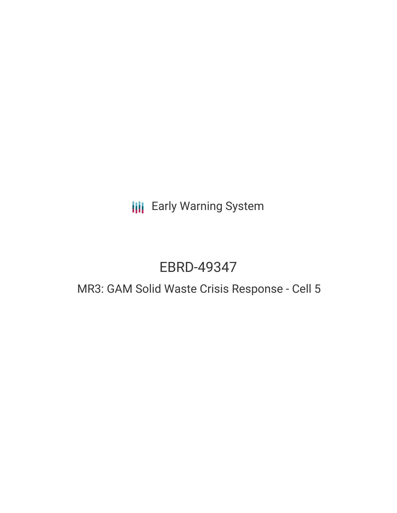# **III** Early Warning System

# EBRD-49347

# MR3: GAM Solid Waste Crisis Response - Cell 5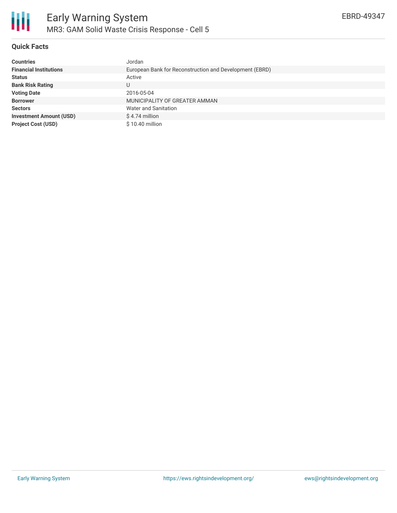

## **Quick Facts**

| <b>Countries</b>               | Jordan                                                  |
|--------------------------------|---------------------------------------------------------|
| <b>Financial Institutions</b>  | European Bank for Reconstruction and Development (EBRD) |
| <b>Status</b>                  | Active                                                  |
| <b>Bank Risk Rating</b>        | U                                                       |
| <b>Voting Date</b>             | 2016-05-04                                              |
| <b>Borrower</b>                | MUNICIPALITY OF GREATER AMMAN                           |
| <b>Sectors</b>                 | Water and Sanitation                                    |
| <b>Investment Amount (USD)</b> | $$4.74$ million                                         |
| <b>Project Cost (USD)</b>      | $$10.40$ million                                        |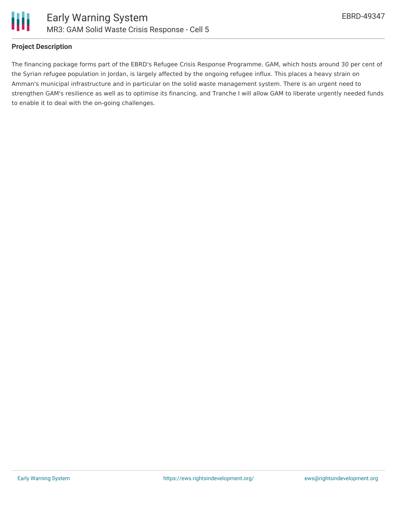



#### **Project Description**

The financing package forms part of the EBRD's Refugee Crisis Response Programme. GAM, which hosts around 30 per cent of the Syrian refugee population in Jordan, is largely affected by the ongoing refugee influx. This places a heavy strain on Amman's municipal infrastructure and in particular on the solid waste management system. There is an urgent need to strengthen GAM's resilience as well as to optimise its financing, and Tranche I will allow GAM to liberate urgently needed funds to enable it to deal with the on-going challenges.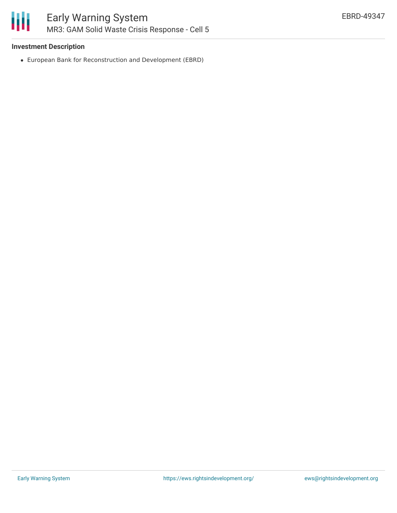

### **Investment Description**

European Bank for Reconstruction and Development (EBRD)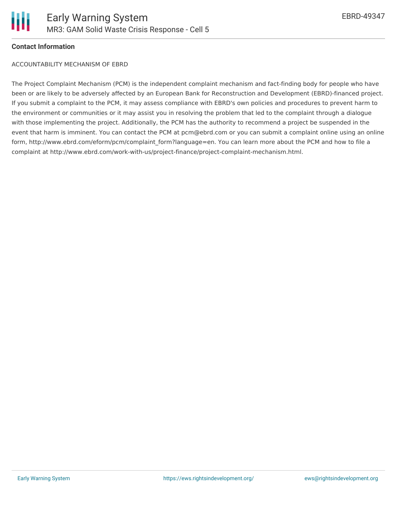

#### **Contact Information**

ACCOUNTABILITY MECHANISM OF EBRD

The Project Complaint Mechanism (PCM) is the independent complaint mechanism and fact-finding body for people who have been or are likely to be adversely affected by an European Bank for Reconstruction and Development (EBRD)-financed project. If you submit a complaint to the PCM, it may assess compliance with EBRD's own policies and procedures to prevent harm to the environment or communities or it may assist you in resolving the problem that led to the complaint through a dialogue with those implementing the project. Additionally, the PCM has the authority to recommend a project be suspended in the event that harm is imminent. You can contact the PCM at pcm@ebrd.com or you can submit a complaint online using an online form, http://www.ebrd.com/eform/pcm/complaint form?language=en. You can learn more about the PCM and how to file a complaint at http://www.ebrd.com/work-with-us/project-finance/project-complaint-mechanism.html.